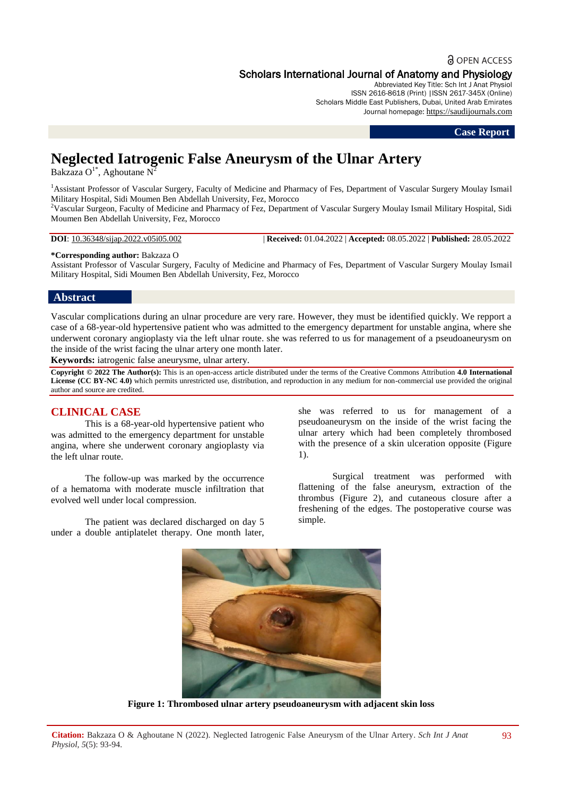# **a** OPEN ACCESS

# Scholars International Journal of Anatomy and Physiology

Abbreviated Key Title: Sch Int J Anat Physiol ISSN 2616-8618 (Print) |ISSN 2617-345X (Online) Scholars Middle East Publishers, Dubai, United Arab Emirates Journal homepage: [https://saudijournals.com](https://saudijournals.com/sijap)

#### **Case Report**

# **Neglected Iatrogenic False Aneurysm of the Ulnar Artery**

Bakzaza O<sup>1\*</sup>, Aghoutane N<sup>2</sup>

<sup>1</sup>Assistant Professor of Vascular Surgery, Faculty of Medicine and Pharmacy of Fes, Department of Vascular Surgery Moulay Ismail Military Hospital, Sidi Moumen Ben Abdellah University, Fez, Morocco

<sup>2</sup>Vascular Surgeon, Faculty of Medicine and Pharmacy of Fez, Department of Vascular Surgery Moulay Ismail Military Hospital, Sidi Moumen Ben Abdellah University, Fez, Morocco

**DOI**: 10.36348/sijap.2022.v05i05.002 | **Received:** 01.04.2022 | **Accepted:** 08.05.2022 | **Published:** 28.05.2022

#### **\*Corresponding author:** Bakzaza O

Assistant Professor of Vascular Surgery, Faculty of Medicine and Pharmacy of Fes, Department of Vascular Surgery Moulay Ismail Military Hospital, Sidi Moumen Ben Abdellah University, Fez, Morocco

### **Abstract**

Vascular complications during an ulnar procedure are very rare. However, they must be identified quickly. We repport a case of a 68-year-old hypertensive patient who was admitted to the emergency department for unstable angina, where she underwent coronary angioplasty via the left ulnar route. she was referred to us for management of a pseudoaneurysm on the inside of the wrist facing the ulnar artery one month later.

**Keywords:** iatrogenic false aneurysme, ulnar artery.

**Copyright © 2022 The Author(s):** This is an open-access article distributed under the terms of the Creative Commons Attribution **4.0 International License (CC BY-NC 4.0)** which permits unrestricted use, distribution, and reproduction in any medium for non-commercial use provided the original author and source are credited.

## **CLINICAL CASE**

This is a 68-year-old hypertensive patient who was admitted to the emergency department for unstable angina, where she underwent coronary angioplasty via the left ulnar route.

The follow-up was marked by the occurrence of a hematoma with moderate muscle infiltration that evolved well under local compression.

The patient was declared discharged on day 5 under a double antiplatelet therapy. One month later, she was referred to us for management of a pseudoaneurysm on the inside of the wrist facing the ulnar artery which had been completely thrombosed with the presence of a skin ulceration opposite (Figure 1).

Surgical treatment was performed with flattening of the false aneurysm, extraction of the thrombus (Figure 2), and cutaneous closure after a freshening of the edges. The postoperative course was simple.



**Figure 1: Thrombosed ulnar artery pseudoaneurysm with adjacent skin loss**